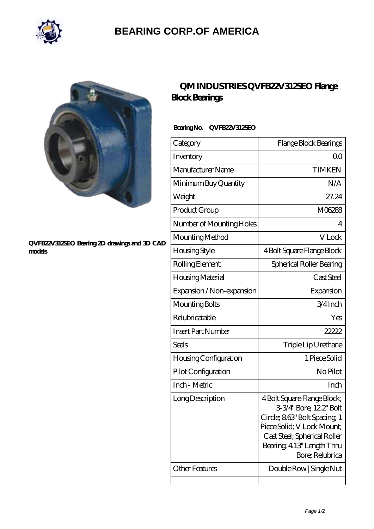

## **[BEARING CORP.OF AMERICA](https://bluemondayreview.com)**



#### **[QVFB22V312SEO Bearing 2D drawings and 3D CAD](https://bluemondayreview.com/pic-175391.html) [models](https://bluemondayreview.com/pic-175391.html)**

### **[QM INDUSTRIES QVFB22V312SEO Flange](https://bluemondayreview.com/am-175391-qm-industries-qvfb22v312seo-flange-block-bearings.html) [Block Bearings](https://bluemondayreview.com/am-175391-qm-industries-qvfb22v312seo-flange-block-bearings.html)**

### **Bearing No. QVFB22V312SEO**

| Category                     | Flange Block Bearings                                                                                                                                                                                |
|------------------------------|------------------------------------------------------------------------------------------------------------------------------------------------------------------------------------------------------|
| Inventory                    | 00                                                                                                                                                                                                   |
| Manufacturer Name            | <b>TIMKEN</b>                                                                                                                                                                                        |
| Minimum Buy Quantity         | N/A                                                                                                                                                                                                  |
| Weight                       | 27.24                                                                                                                                                                                                |
| Product Group                | M06288                                                                                                                                                                                               |
| Number of Mounting Holes     | 4                                                                                                                                                                                                    |
| Mounting Method              | V Lock                                                                                                                                                                                               |
| Housing Style                | 4 Bolt Square Flange Block                                                                                                                                                                           |
| Rolling Element              | Spherical Roller Bearing                                                                                                                                                                             |
| Housing Material             | Cast Steel                                                                                                                                                                                           |
| Expansion / Non-expansion    | Expansion                                                                                                                                                                                            |
| Mounting Bolts               | $3/4$ Inch                                                                                                                                                                                           |
| Relubricatable               | Yes                                                                                                                                                                                                  |
| <b>Insert Part Number</b>    | 22222                                                                                                                                                                                                |
| <b>Seals</b>                 | Triple Lip Urethane                                                                                                                                                                                  |
| <b>Housing Configuration</b> | 1 Piece Solid                                                                                                                                                                                        |
| Pilot Configuration          | No Pilot                                                                                                                                                                                             |
| Inch - Metric                | Inch                                                                                                                                                                                                 |
| Long Description             | 4 Bolt Square Flange Block;<br>3-3/4" Bore; 12.2" Bolt<br>Circle; 863" Bolt Spacing 1<br>Piece Solid; V Lock Mount;<br>Cast Steel; Spherical Roller<br>Bearing, 4.13" Length Thru<br>Bore; Relubrica |
| <b>Other Features</b>        | Double Row   Single Nut                                                                                                                                                                              |
|                              |                                                                                                                                                                                                      |